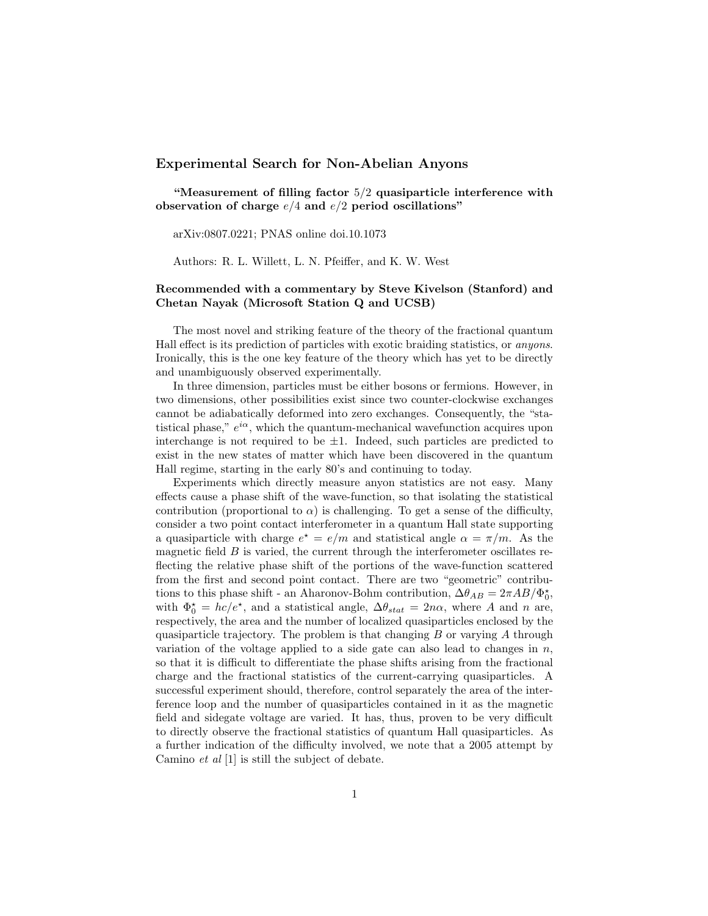## Experimental Search for Non-Abelian Anyons

"Measurement of filling factor  $5/2$  quasiparticle interference with observation of charge  $e/4$  and  $e/2$  period oscillations"

arXiv:0807.0221; PNAS online doi.10.1073

Authors: R. L. Willett, L. N. Pfeiffer, and K. W. West

## Recommended with a commentary by Steve Kivelson (Stanford) and Chetan Nayak (Microsoft Station Q and UCSB)

The most novel and striking feature of the theory of the fractional quantum Hall effect is its prediction of particles with exotic braiding statistics, or anyons. Ironically, this is the one key feature of the theory which has yet to be directly and unambiguously observed experimentally.

In three dimension, particles must be either bosons or fermions. However, in two dimensions, other possibilities exist since two counter-clockwise exchanges cannot be adiabatically deformed into zero exchanges. Consequently, the "statistical phase,"  $e^{i\alpha}$ , which the quantum-mechanical wavefunction acquires upon interchange is not required to be  $\pm 1$ . Indeed, such particles are predicted to exist in the new states of matter which have been discovered in the quantum Hall regime, starting in the early 80's and continuing to today.

Experiments which directly measure anyon statistics are not easy. Many effects cause a phase shift of the wave-function, so that isolating the statistical contribution (proportional to  $\alpha$ ) is challenging. To get a sense of the difficulty, consider a two point contact interferometer in a quantum Hall state supporting a quasiparticle with charge  $e^* = e/m$  and statistical angle  $\alpha = \pi/m$ . As the magnetic field  $B$  is varied, the current through the interferometer oscillates reflecting the relative phase shift of the portions of the wave-function scattered from the first and second point contact. There are two "geometric" contributions to this phase shift - an Aharonov-Bohm contribution,  $\Delta\theta_{AB} = 2\pi AB/\Phi_0^*$ , with  $\Phi_0^* = hc/e^*$ , and a statistical angle,  $\Delta \theta_{stat} = 2n\alpha$ , where A and n are, respectively, the area and the number of localized quasiparticles enclosed by the quasiparticle trajectory. The problem is that changing  $B$  or varying  $A$  through variation of the voltage applied to a side gate can also lead to changes in  $n$ , so that it is difficult to differentiate the phase shifts arising from the fractional charge and the fractional statistics of the current-carrying quasiparticles. A successful experiment should, therefore, control separately the area of the interference loop and the number of quasiparticles contained in it as the magnetic field and sidegate voltage are varied. It has, thus, proven to be very difficult to directly observe the fractional statistics of quantum Hall quasiparticles. As a further indication of the difficulty involved, we note that a 2005 attempt by Camino et al [1] is still the subject of debate.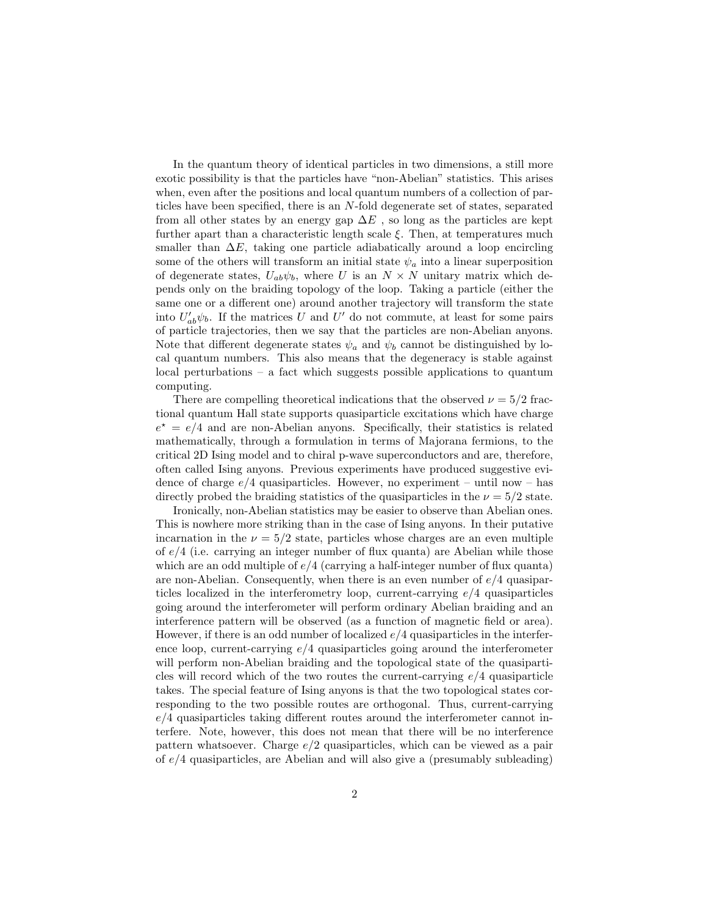In the quantum theory of identical particles in two dimensions, a still more exotic possibility is that the particles have "non-Abelian" statistics. This arises when, even after the positions and local quantum numbers of a collection of particles have been specified, there is an N-fold degenerate set of states, separated from all other states by an energy gap  $\Delta E$ , so long as the particles are kept further apart than a characteristic length scale  $\xi$ . Then, at temperatures much smaller than  $\Delta E$ , taking one particle adiabatically around a loop encircling some of the others will transform an initial state  $\psi_a$  into a linear superposition of degenerate states,  $U_{ab}\psi_b$ , where U is an  $N \times N$  unitary matrix which depends only on the braiding topology of the loop. Taking a particle (either the same one or a different one) around another trajectory will transform the state into  $U'_{ab}\psi_b$ . If the matrices U and U' do not commute, at least for some pairs of particle trajectories, then we say that the particles are non-Abelian anyons. Note that different degenerate states  $\psi_a$  and  $\psi_b$  cannot be distinguished by local quantum numbers. This also means that the degeneracy is stable against local perturbations – a fact which suggests possible applications to quantum computing.

There are compelling theoretical indications that the observed  $\nu = 5/2$  fractional quantum Hall state supports quasiparticle excitations which have charge  $e^* = e/4$  and are non-Abelian anyons. Specifically, their statistics is related mathematically, through a formulation in terms of Majorana fermions, to the critical 2D Ising model and to chiral p-wave superconductors and are, therefore, often called Ising anyons. Previous experiments have produced suggestive evidence of charge  $e/4$  quasiparticles. However, no experiment – until now – has directly probed the braiding statistics of the quasiparticles in the  $\nu = 5/2$  state.

Ironically, non-Abelian statistics may be easier to observe than Abelian ones. This is nowhere more striking than in the case of Ising anyons. In their putative incarnation in the  $\nu = 5/2$  state, particles whose charges are an even multiple of  $e/4$  (i.e. carrying an integer number of flux quanta) are Abelian while those which are an odd multiple of  $e/4$  (carrying a half-integer number of flux quanta) are non-Abelian. Consequently, when there is an even number of  $e/4$  quasiparticles localized in the interferometry loop, current-carrying  $e/4$  quasiparticles going around the interferometer will perform ordinary Abelian braiding and an interference pattern will be observed (as a function of magnetic field or area). However, if there is an odd number of localized  $e/4$  quasiparticles in the interference loop, current-carrying  $e/4$  quasiparticles going around the interferometer will perform non-Abelian braiding and the topological state of the quasiparticles will record which of the two routes the current-carrying  $e/4$  quasiparticle takes. The special feature of Ising anyons is that the two topological states corresponding to the two possible routes are orthogonal. Thus, current-carrying  $e/4$  quasiparticles taking different routes around the interferometer cannot interfere. Note, however, this does not mean that there will be no interference pattern whatsoever. Charge  $e/2$  quasiparticles, which can be viewed as a pair of  $e/4$  quasiparticles, are Abelian and will also give a (presumably subleading)